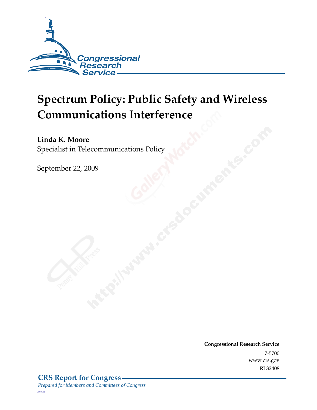

# **Spectrum Policy: Public Safety and Wireless Communications Interference**

**Linda K. Moore**  Specialist in Telecommunications Policy

September 22, 2009

**Congressional Research Service** 7-5700 www.crs.gov RL32408

*c11173008*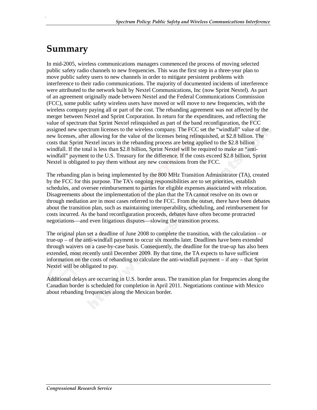### **Summary**

.

In mid-2005, wireless communications managers commenced the process of moving selected public safety radio channels to new frequencies. This was the first step in a three-year plan to move public safety users to new channels in order to mitigate persistent problems with interference to their radio communications. The majority of documented incidents of interference were attributed to the network built by Nextel Communications, Inc (now Sprint Nextel). As part of an agreement originally made between Nextel and the Federal Communications Commission (FCC), some public safety wireless users have moved or will move to new frequencies, with the wireless company paying all or part of the cost. The rebanding agreement was not affected by the merger between Nextel and Sprint Corporation. In return for the expenditures, and reflecting the value of spectrum that Sprint Nextel relinquished as part of the band reconfiguration, the FCC assigned new spectrum licenses to the wireless company. The FCC set the "windfall" value of the new licenses, after allowing for the value of the licenses being relinquished, at \$2.8 billion. The costs that Sprint Nextel incurs in the rebanding process are being applied to the \$2.8 billion windfall. If the total is less than \$2.8 billion, Sprint Nextel will be required to make an "antiwindfall" payment to the U.S. Treasury for the difference. If the costs exceed \$2.8 billion, Sprint Nextel is obligated to pay them without any new concessions from the FCC.

The rebanding plan is being implemented by the 800 MHz Transition Administrator (TA), created by the FCC for this purpose. The TA's ongoing responsibilities are to set priorities, establish schedules, and oversee reimbursement to parties for eligible expenses associated with relocation. Disagreements about the implementation of the plan that the TA cannot resolve on its own or through mediation are in most cases referred to the FCC. From the outset, there have been debates about the transition plan, such as maintaining interoperability, scheduling, and reimbursement for costs incurred. As the band reconfiguration proceeds, debates have often become protracted negotiations—and even litigatious disputes—slowing the transition process.

The original plan set a deadline of June 2008 to complete the transition, with the calculation – or true-up – of the anti-windfall payment to occur six months later. Deadlines have been extended through waivers on a case-by-case basis. Consequently, the deadline for the true-up has also been extended, most recently until December 2009. By that time, the TA expects to have sufficient information on the costs of rebanding to calculate the anti-windfall payment – if any – that Sprint Nextel will be obligated to pay.

Additional delays are occurring in U.S. border areas. The transition plan for frequencies along the Canadian border is scheduled for completion in April 2011. Negotiations continue with Mexico about rebanding frequencies along the Mexican border.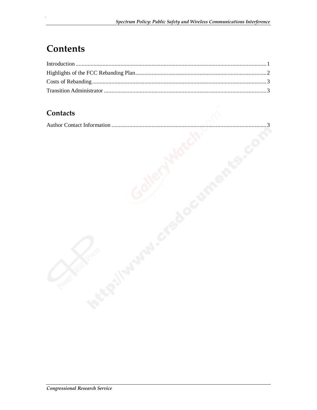## **Contents**

#### Contacts

|--|--|--|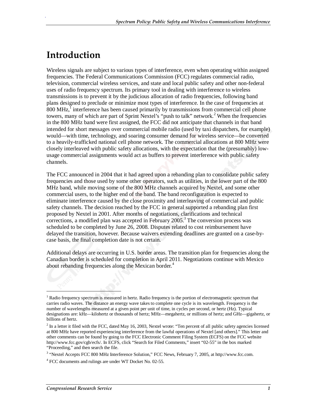#### **Introduction**

.

Wireless signals are subject to various types of interference, even when operating within assigned frequencies. The Federal Communications Commission (FCC) regulates commercial radio, television, commercial wireless services, and state and local public safety and other non-federal uses of radio frequency spectrum. Its primary tool in dealing with interference to wireless transmissions is to prevent it by the judicious allocation of radio frequencies, following band plans designed to preclude or minimize most types of interference. In the case of frequencies at  $800$  MHz,<sup>1</sup> interference has been caused primarily by transmissions from commercial cell phone towers, many of which are part of Sprint Nextel's "push to talk" network.<sup>2</sup> When the frequencies in the 800 MHz band were first assigned, the FCC did not anticipate that channels in that band intended for short messages over commercial mobile radio (used by taxi dispatchers, for example) would—with time, technology, and soaring consumer demand for wireless service—be converted to a heavily-trafficked national cell phone network. The commercial allocations at 800 MHz were closely interleaved with public safety allocations, with the expectation that the (presumably) lowusage commercial assignments would act as buffers to prevent interference with public safety channels.

The FCC announced in 2004 that it had agreed upon a rebanding plan to consolidate public safety frequencies and those used by some other operators, such as utilities, in the lower part of the 800 MHz band, while moving some of the 800 MHz channels acquired by Nextel, and some other commercial users, to the higher end of the band. The band reconfiguration is expected to eliminate interference caused by the close proximity and interleaving of commercial and public safety channels. The decision reached by the FCC in general supported a rebanding plan first proposed by Nextel in 2001. After months of negotiations, clarifications and technical corrections, a modified plan was accepted in February  $2005$ .<sup>3</sup> The conversion process was scheduled to be completed by June 26, 2008. Disputes related to cost reimbursement have delayed the transition, however. Because waivers extending deadlines are granted on a case-bycase basis, the final completion date is not certain.

Additional delays are occurring in U.S. border areas. The transition plan for frequencies along the Canadian border is scheduled for completion in April 2011. Negotiations continue with Mexico about rebanding frequencies along the Mexican border.<sup>4</sup>

**.** 

<sup>&</sup>lt;sup>1</sup> Radio frequency spectrum is measured in hertz. Radio frequency is the portion of electromagnetic spectrum that carries radio waves. The distance an energy wave takes to complete one cycle is its wavelength. Frequency is the number of wavelengths measured at a given point per unit of time, in cycles per second, or hertz (Hz). Typical designations are: kHz—kilohertz or thousands of hertz; MHz—megahertz, or millions of hertz; and GHz—gigahertz, or billions of hertz.

 $2$  In a letter it filed with the FCC, dated May 16, 2003, Nextel wrote: "Ten percent of all public safety agencies licensed at 800 MHz have reported experiencing interference from the lawful operations of Nextel [and others]." This letter and other comments can be found by going to the FCC Electronic Comment Filing System (ECFS) on the FCC website http://www.fcc.gov/cgb/ecfs/. In ECFS, click "Search for Filed Comments," insert "02-55" in the box marked "Proceeding," and then search the file.

<sup>3</sup> "Nextel Accepts FCC 800 MHz Interference Solution," FCC News, February 7, 2005, at http://www.fcc.com.

<sup>4</sup> FCC documents and rulings are under WT Docket No. 02-55.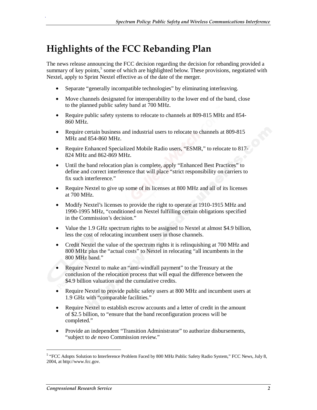### **Highlights of the FCC Rebanding Plan**

The news release announcing the FCC decision regarding the decision for rebanding provided a summary of key points,<sup>5</sup> some of which are highlighted below. These provisions, negotiated with Nextel, apply to Sprint Nextel effective as of the date of the merger.

- Separate "generally incompatible technologies" by eliminating interleaving.
- Move channels designated for interoperability to the lower end of the band, close to the planned public safety band at 700 MHz.
- Require public safety systems to relocate to channels at 809-815 MHz and 854-860 MHz.
- Require certain business and industrial users to relocate to channels at 809-815 MHz and 854-860 MHz.
- Require Enhanced Specialized Mobile Radio users, "ESMR," to relocate to 817- 824 MHz and 862-869 MHz.
- Until the band relocation plan is complete, apply "Enhanced Best Practices" to define and correct interference that will place "strict responsibility on carriers to fix such interference."
- Require Nextel to give up some of its licenses at 800 MHz and all of its licenses at 700 MHz.
- Modify Nextel's licenses to provide the right to operate at 1910-1915 MHz and 1990-1995 MHz, "conditioned on Nextel fulfilling certain obligations specified in the Commission's decision."
- Value the 1.9 GHz spectrum rights to be assigned to Nextel at almost \$4.9 billion, less the cost of relocating incumbent users in those channels.
- Credit Nextel the value of the spectrum rights it is relinquishing at 700 MHz and 800 MHz plus the "actual costs" to Nextel in relocating "all incumbents in the 800 MHz band."
- Require Nextel to make an "anti-windfall payment" to the Treasury at the conclusion of the relocation process that will equal the difference between the \$4.9 billion valuation and the cumulative credits.
- Require Nextel to provide public safety users at 800 MHz and incumbent users at 1.9 GHz with "comparable facilities."
- Require Nextel to establish escrow accounts and a letter of credit in the amount of \$2.5 billion, to "ensure that the band reconfiguration process will be completed."
- Provide an independent "Transition Administrator" to authorize disbursements, "subject to *de novo* Commission review."

1

.

<sup>5</sup> "FCC Adopts Solution to Interference Problem Faced by 800 MHz Public Safety Radio System," FCC News, July 8, 2004, at http://www.fcc.gov.